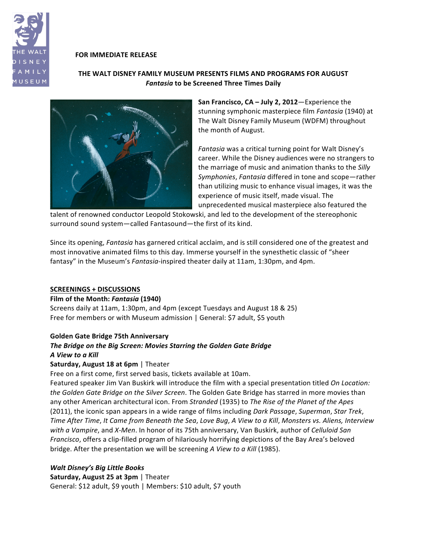

#### **FOR IMMEDIATE RELEASE**

## **THE\$WALT\$DISNEY\$FAMILY\$MUSEUM PRESENTS FILMS\$AND\$PROGRAMS FOR\$AUGUST** *Fantasia* **to be Screened Three Times Daily**



**San Francisco, CA – July 2, 2012**—Experience the stunning symphonic masterpiece film *Fantasia* (1940) at The Walt Disney Family Museum (WDFM) throughout the month of August.

Fantasia was a critical turning point for Walt Disney's career. While the Disney audiences were no strangers to the marriage of music and animation thanks to the *Silly Symphonies, Fantasia* differed in tone and scope—rather than utilizing music to enhance visual images, it was the experience of music itself, made visual. The unprecedented musical masterpiece also featured the

talent of renowned conductor Leopold Stokowski, and led to the development of the stereophonic surround sound system—called Fantasound—the first of its kind.

Since its opening, *Fantasia* has garnered critical acclaim, and is still considered one of the greatest and most innovative animated films to this day. Immerse yourself in the synesthetic classic of "sheer" fantasy" in the Museum's *Fantasia*-inspired theater daily at 11am, 1:30pm, and 4pm.

#### **SCREENINGS + DISCUSSIONS**

#### **Film of the Month: Fantasia (1940)**

Screens daily at 11am, 1:30pm, and 4pm (except Tuesdays and August 18 & 25) Free for members or with Museum admission  $|$  General: \$7 adult, \$5 youth

#### **Golden Gate Bridge 75th Anniversary**

## **The Bridge on the Big Screen: Movies Starring the Golden Gate Bridge** *A!View!to!a!Kill*

#### Saturday, August 18 at 6pm | Theater

Free on a first come, first served basis, tickets available at 10am.

Featured speaker Jim Van Buskirk will introduce the film with a special presentation titled On Location: *the Golden Gate Bridge on the Silver Screen*. The Golden Gate Bridge has starred in more movies than any other American architectural icon. From *Stranded* (1935) to *The Rise of the Planet of the Apes* (2011), the iconic span appears in a wide range of films including *Dark Passage*, Superman, Star Trek, *Time After'Time*,\**It'Came'from'Beneath'the'Sea*,\**Love'Bug*,\**A'View'to'a'Kill*,\**Monsters'vs.'Aliens,'Interview' with a Vampire, and X-Men. In honor of its 75th anniversary, Van Buskirk, author of <i>Celluloid San Francisco*, offers a clip-filled program of hilariously horrifying depictions of the Bay Area's beloved bridge. After the presentation we will be screening A View to a Kill (1985).

#### *Walt!Disney's!Big!Little!Books*

**Saturday, August 25 at 3pm** | Theater General: \$12 adult, \$9 youth | Members: \$10 adult, \$7 youth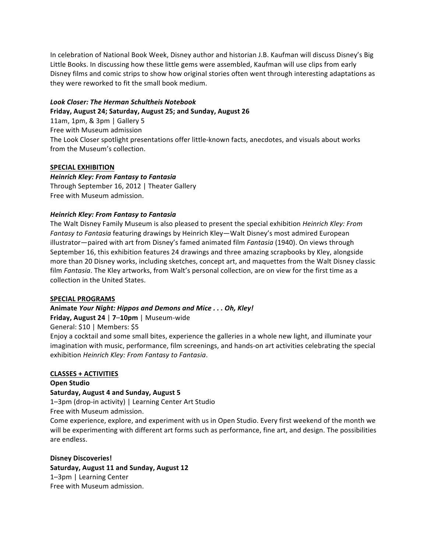In celebration of National Book Week, Disney author and historian J.B. Kaufman will discuss Disney's Big Little Books. In discussing how these little gems were assembled, Kaufman will use clips from early Disney films and comic strips to show how original stories often went through interesting adaptations as they were reworked to fit the small book medium.

#### *Look!Closer:!The!Herman!Schultheis!Notebook*

#### Friday, August 24; Saturday, August 25; and Sunday, August 26

11am, 1pm,  $&$  3pm  $|$  Gallery 5 Free with Museum admission The Look Closer spotlight presentations offer little-known facts, anecdotes, and visuals about works from the Museum's collection.

## **SPECIAL EXHIBITION**

# *Heinrich!Kley:!From!Fantasy!to!Fantasia*

Through September 16, 2012 | Theater Gallery Free with Museum admission.

## **Heinrich Kley: From Fantasy to Fantasia**

The Walt Disney Family Museum is also pleased to present the special exhibition *Heinrich Kley: From* Fantasy to Fantasia featuring drawings by Heinrich Kley—Walt Disney's most admired European illustrator—paired with art from Disney's famed animated film *Fantasia* (1940). On views through September 16, this exhibition features 24 drawings and three amazing scrapbooks by Kley, alongside more than 20 Disney works, including sketches, concept art, and maquettes from the Walt Disney classic film Fantasia. The Kley artworks, from Walt's personal collection, are on view for the first time as a collection in the United States.

#### **SPECIAL PROGRAMS**

# Animate *Your Night: Hippos and Demons and Mice* . . . Oh, Kley!

**Friday, August 24 | 7-10pm | Museum-wide** 

General: \$10 | Members: \$5

Enjoy a cocktail and some small bites, experience the galleries in a whole new light, and illuminate your imagination with music, performance, film screenings, and hands-on art activities celebrating the special exhibition\**Heinrich'Kley:'From'Fantasy'to'Fantasia*.

# **CLASSES + ACTIVITIES**

#### **Open Studio**

# **Saturday, August 4 and Sunday, August 5**

1–3pm (drop-in activity) | Learning Center Art Studio

Free with Museum admission.

Come experience, explore, and experiment with us in Open Studio. Every first weekend of the month we will be experimenting with different art forms such as performance, fine art, and design. The possibilities are endless.

# **Disney Discoveries!**

Saturday, August 11 and Sunday, August 12 1–3pm | Learning Center Free with Museum admission.